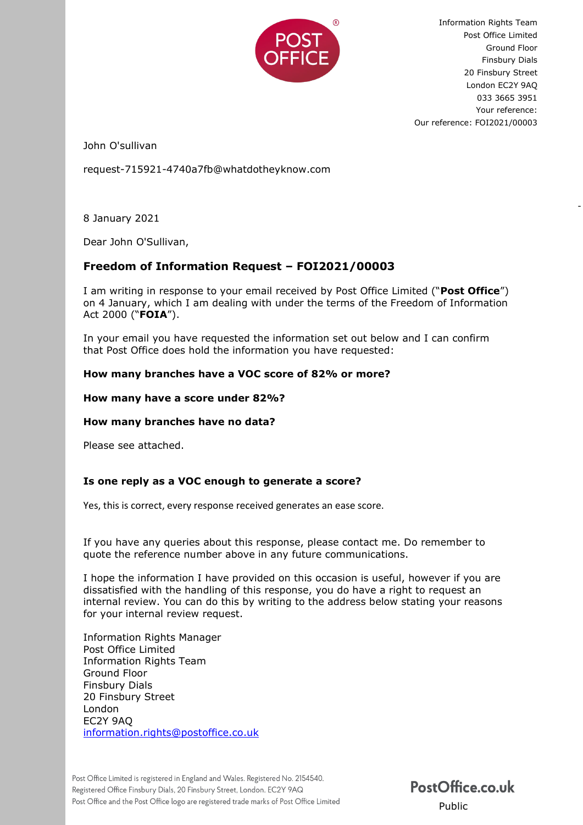

Information Rights Team Post Office Limited Ground Floor Finsbury Dials 20 Finsbury Street London EC2Y 9AQ 033 3665 3951 Your reference: Our reference: FOI2021/00003

-

John O'sullivan

request-715921-4740a7fb@whatdotheyknow.com

8 January 2021

Dear John O'Sullivan,

# **Freedom of Information Request – FOI2021/00003**

I am writing in response to your email received by Post Office Limited ("**Post Office**") on 4 January, which I am dealing with under the terms of the Freedom of Information Act 2000 ("**FOIA**").

In your email you have requested the information set out below and I can confirm that Post Office does hold the information you have requested:

### **How many branches have a VOC score of 82% or more?**

### **How many have a score under 82%?**

#### **How many branches have no data?**

Please see attached.

## **Is one reply as a VOC enough to generate a score?**

Yes, this is correct, every response received generates an ease score.

If you have any queries about this response, please contact me. Do remember to quote the reference number above in any future communications.

I hope the information I have provided on this occasion is useful, however if you are dissatisfied with the handling of this response, you do have a right to request an internal review. You can do this by writing to the address below stating your reasons for your internal review request.

Information Rights Manager Post Office Limited Information Rights Team Ground Floor Finsbury Dials 20 Finsbury Street London EC2Y 9AQ [information.rights@postoffice.co.uk](mailto:xxxxxxxxxxx.xxxxxx@xxxxxxxxxx.xx.xx) 

PostOffice.co.uk Public